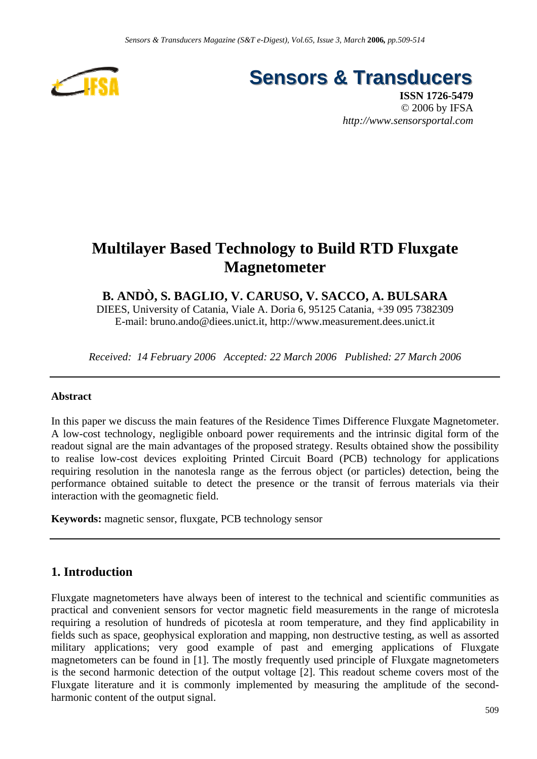

**Sensors & Transducers** 

**ISSN 1726-5479** © 2006 by IFSA *http://www.sensorsportal.com*

# **Multilayer Based Technology to Build RTD Fluxgate Magnetometer**

# **B. ANDÒ, S. BAGLIO, V. CARUSO, V. SACCO, A. BULSARA**

DIEES, University of Catania, Viale A. Doria 6, 95125 Catania, +39 095 7382309 E-mail: bruno.ando@diees.unict.it, http://www.measurement.dees.unict.it

*Received: 14 February 2006 Accepted: 22 March 2006 Published: 27 March 2006* 

#### **Abstract**

In this paper we discuss the main features of the Residence Times Difference Fluxgate Magnetometer. A low-cost technology, negligible onboard power requirements and the intrinsic digital form of the readout signal are the main advantages of the proposed strategy. Results obtained show the possibility to realise low-cost devices exploiting Printed Circuit Board (PCB) technology for applications requiring resolution in the nanotesla range as the ferrous object (or particles) detection, being the performance obtained suitable to detect the presence or the transit of ferrous materials via their interaction with the geomagnetic field.

**Keywords:** magnetic sensor, fluxgate, PCB technology sensor

### **1. Introduction**

Fluxgate magnetometers have always been of interest to the technical and scientific communities as practical and convenient sensors for vector magnetic field measurements in the range of microtesla requiring a resolution of hundreds of picotesla at room temperature, and they find applicability in fields such as space, geophysical exploration and mapping, non destructive testing, as well as assorted military applications; very good example of past and emerging applications of Fluxgate magnetometers can be found in [1]. The mostly frequently used principle of Fluxgate magnetometers is the second harmonic detection of the output voltage [2]. This readout scheme covers most of the Fluxgate literature and it is commonly implemented by measuring the amplitude of the secondharmonic content of the output signal.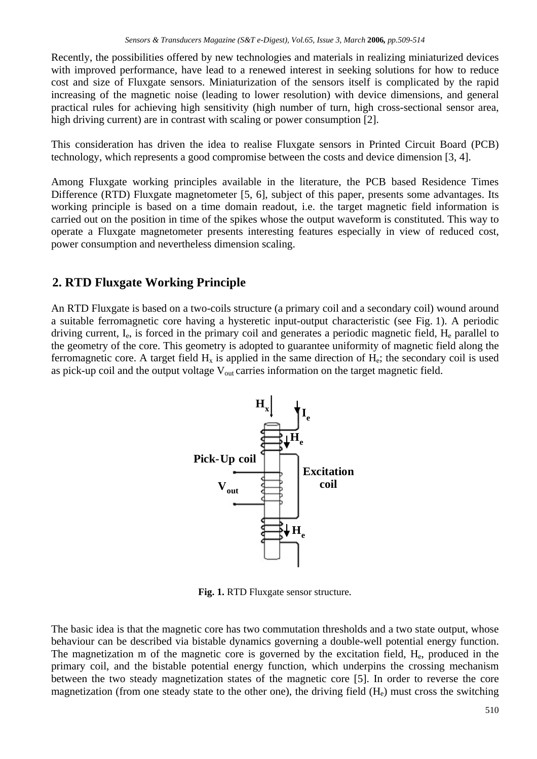Recently, the possibilities offered by new technologies and materials in realizing miniaturized devices with improved performance, have lead to a renewed interest in seeking solutions for how to reduce cost and size of Fluxgate sensors. Miniaturization of the sensors itself is complicated by the rapid increasing of the magnetic noise (leading to lower resolution) with device dimensions, and general practical rules for achieving high sensitivity (high number of turn, high cross-sectional sensor area, high driving current) are in contrast with scaling or power consumption [2].

This consideration has driven the idea to realise Fluxgate sensors in Printed Circuit Board (PCB) technology, which represents a good compromise between the costs and device dimension [3, 4].

Among Fluxgate working principles available in the literature, the PCB based Residence Times Difference (RTD) Fluxgate magnetometer [5, 6], subject of this paper, presents some advantages. Its working principle is based on a time domain readout, i.e. the target magnetic field information is carried out on the position in time of the spikes whose the output waveform is constituted. This way to operate a Fluxgate magnetometer presents interesting features especially in view of reduced cost, power consumption and nevertheless dimension scaling.

# **2. RTD Fluxgate Working Principle**

An RTD Fluxgate is based on a two-coils structure (a primary coil and a secondary coil) wound around a suitable ferromagnetic core having a hysteretic input-output characteristic (see Fig. 1). A periodic driving current,  $I_e$ , is forced in the primary coil and generates a periodic magnetic field,  $H_e$  parallel to the geometry of the core. This geometry is adopted to guarantee uniformity of magnetic field along the ferromagnetic core. A target field  $H_x$  is applied in the same direction of  $H_e$ ; the secondary coil is used as pick-up coil and the output voltage  $V_{out}$  carries information on the target magnetic field.



**Fig. 1.** RTD Fluxgate sensor structure*.*

The basic idea is that the magnetic core has two commutation thresholds and a two state output, whose behaviour can be described via bistable dynamics governing a double-well potential energy function. The magnetization m of the magnetic core is governed by the excitation field, He, produced in the primary coil, and the bistable potential energy function, which underpins the crossing mechanism between the two steady magnetization states of the magnetic core [5]. In order to reverse the core magnetization (from one steady state to the other one), the driving field  $(H_e)$  must cross the switching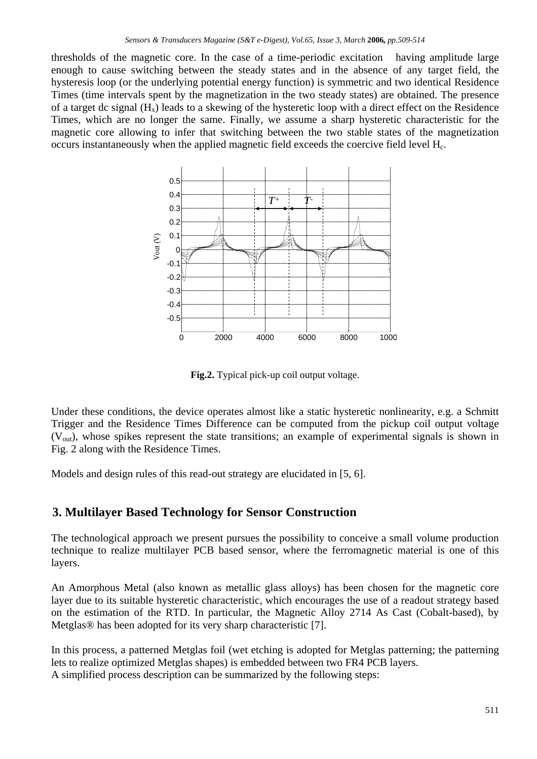thresholds of the magnetic core. In the case of a time-periodic excitation having amplitude large enough to cause switching between the steady states and in the absence of any target field, the hysteresis loop (or the underlying potential energy function) is symmetric and two identical Residence Times (time intervals spent by the magnetization in the two steady states) are obtained. The presence of a target dc signal  $(H_x)$  leads to a skewing of the hysteretic loop with a direct effect on the Residence Times, which are no longer the same. Finally, we assume a sharp hysteretic characteristic for the magnetic core allowing to infer that switching between the two stable states of the magnetization occurs instantaneously when the applied magnetic field exceeds the coercive field level Hc.



**Fig.2.** Typical pick-up coil output voltage.

Under these conditions, the device operates almost like a static hysteretic nonlinearity, e.g. a Schmitt Trigger and the Residence Times Difference can be computed from the pickup coil output voltage  $(V_{\text{out}})$ , whose spikes represent the state transitions; an example of experimental signals is shown in Fig. 2 along with the Residence Times.

Models and design rules of this read-out strategy are elucidated in [5, 6].

# **3. Multilayer Based Technology for Sensor Construction**

The technological approach we present pursues the possibility to conceive a small volume production technique to realize multilayer PCB based sensor, where the ferromagnetic material is one of this layers.

An Amorphous Metal (also known as metallic glass alloys) has been chosen for the magnetic core layer due to its suitable hysteretic characteristic, which encourages the use of a readout strategy based on the estimation of the RTD. In particular, the Magnetic Alloy 2714 As Cast (Cobalt-based), by Metglas® has been adopted for its very sharp characteristic [7].

In this process, a patterned Metglas foil (wet etching is adopted for Metglas patterning; the patterning lets to realize optimized Metglas shapes) is embedded between two FR4 PCB layers. A simplified process description can be summarized by the following steps: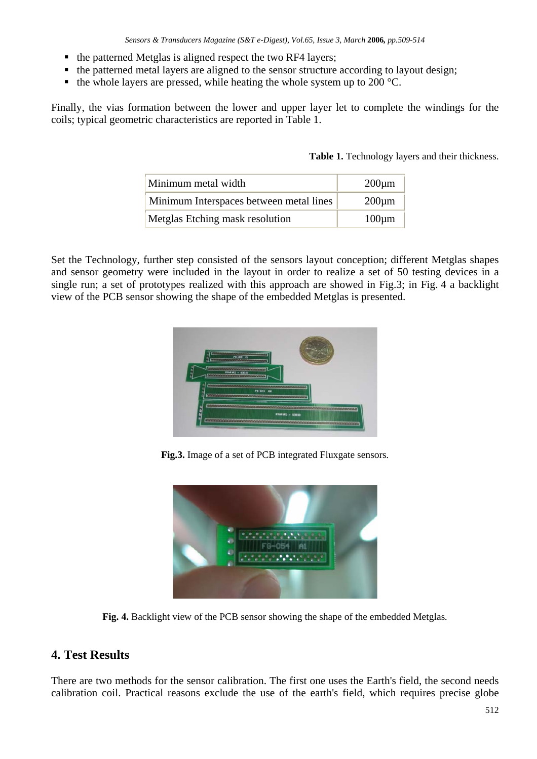- $\blacksquare$  the patterned Metglas is aligned respect the two RF4 layers;
- the patterned metal layers are aligned to the sensor structure according to layout design;
- $\bullet$  the whole layers are pressed, while heating the whole system up to 200 °C.

Finally, the vias formation between the lower and upper layer let to complete the windings for the coils; typical geometric characteristics are reported in Table 1.

Table 1. Technology layers and their thickness.

| Minimum metal width                     | $200 \mu m$ |
|-----------------------------------------|-------------|
| Minimum Interspaces between metal lines | $200 \mu m$ |
| Metglas Etching mask resolution         | $100 \mu m$ |

Set the Technology, further step consisted of the sensors layout conception; different Metglas shapes and sensor geometry were included in the layout in order to realize a set of 50 testing devices in a single run; a set of prototypes realized with this approach are showed in Fig.3; in Fig. 4 a backlight view of the PCB sensor showing the shape of the embedded Metglas is presented.



**Fig.3.** Image of a set of PCB integrated Fluxgate sensors*.*



**Fig. 4.** Backlight view of the PCB sensor showing the shape of the embedded Metglas*.*

# **4. Test Results**

There are two methods for the sensor calibration. The first one uses the Earth's field, the second needs calibration coil. Practical reasons exclude the use of the earth's field, which requires precise globe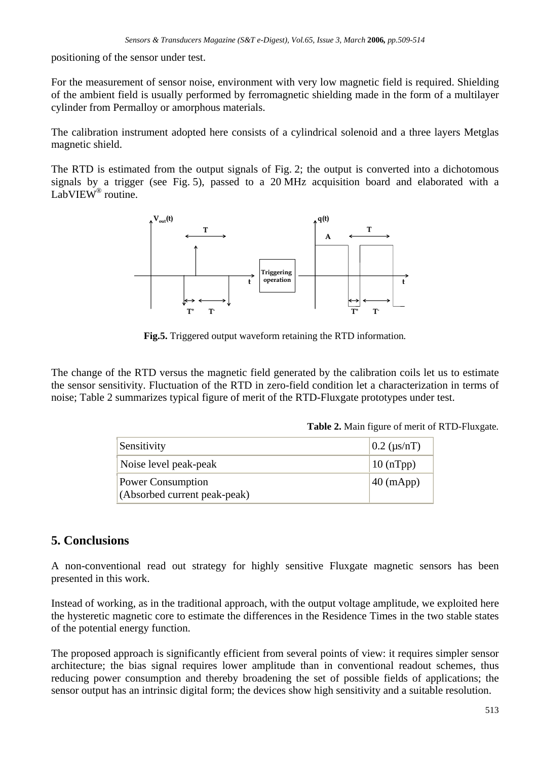positioning of the sensor under test.

For the measurement of sensor noise, environment with very low magnetic field is required. Shielding of the ambient field is usually performed by ferromagnetic shielding made in the form of a multilayer cylinder from Permalloy or amorphous materials.

The calibration instrument adopted here consists of a cylindrical solenoid and a three layers Metglas magnetic shield.

The RTD is estimated from the output signals of Fig. 2; the output is converted into a dichotomous signals by a trigger (see Fig. 5), passed to a 20 MHz acquisition board and elaborated with a LabVIEW<sup>®</sup> routine.



**Fig.5.** Triggered output waveform retaining the RTD information*.*

The change of the RTD versus the magnetic field generated by the calibration coils let us to estimate the sensor sensitivity. Fluctuation of the RTD in zero-field condition let a characterization in terms of noise; Table 2 summarizes typical figure of merit of the RTD-Fluxgate prototypes under test.

| <b>Table 2.</b> Main figure of merit of RTD-Fluxgate. |  |  |  |  |
|-------------------------------------------------------|--|--|--|--|
|-------------------------------------------------------|--|--|--|--|

| Sensitivity                                              | $0.2$ ( $\mu$ s/nT) |
|----------------------------------------------------------|---------------------|
| Noise level peak-peak                                    | $10$ (nTpp)         |
| <b>Power Consumption</b><br>(Absorbed current peak-peak) | $40 \text{ (mApp)}$ |

#### **5. Conclusions**

A non-conventional read out strategy for highly sensitive Fluxgate magnetic sensors has been presented in this work.

Instead of working, as in the traditional approach, with the output voltage amplitude, we exploited here the hysteretic magnetic core to estimate the differences in the Residence Times in the two stable states of the potential energy function.

The proposed approach is significantly efficient from several points of view: it requires simpler sensor architecture; the bias signal requires lower amplitude than in conventional readout schemes, thus reducing power consumption and thereby broadening the set of possible fields of applications; the sensor output has an intrinsic digital form; the devices show high sensitivity and a suitable resolution.